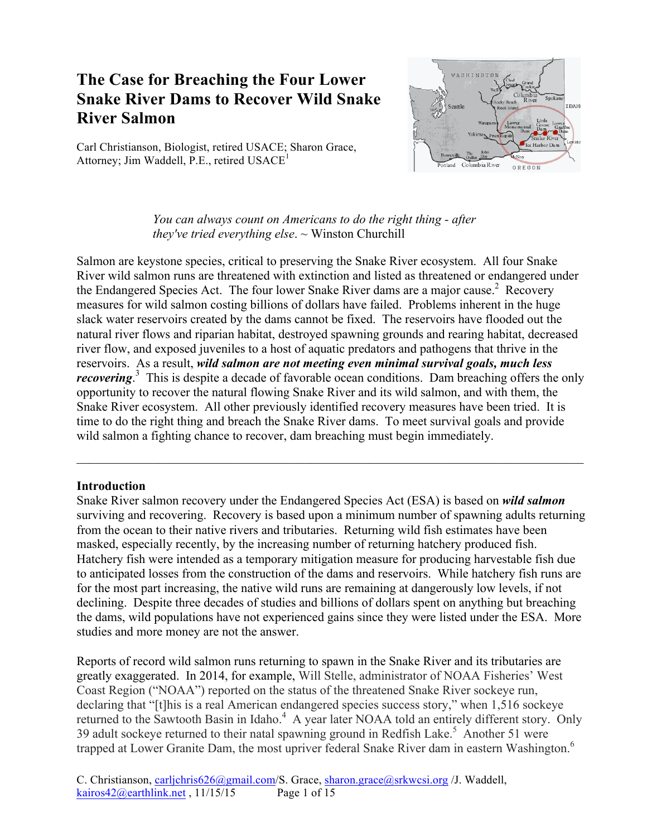# **The Case for Breaching the Four Lower Snake River Dams to Recover Wild Snake River Salmon**

Carl Christianson, Biologist, retired USACE; Sharon Grace, Attorney; Jim Waddell, P.E., retired  $USACE<sup>1</sup>$ 



*You can always count on Americans to do the right thing - after they've tried everything else*. ~ Winston Churchill

Salmon are keystone species, critical to preserving the Snake River ecosystem. All four Snake River wild salmon runs are threatened with extinction and listed as threatened or endangered under the Endangered Species Act. The four lower Snake River dams are a major cause.<sup>2</sup> Recovery measures for wild salmon costing billions of dollars have failed. Problems inherent in the huge slack water reservoirs created by the dams cannot be fixed. The reservoirs have flooded out the natural river flows and riparian habitat, destroyed spawning grounds and rearing habitat, decreased river flow, and exposed juveniles to a host of aquatic predators and pathogens that thrive in the reservoirs. As a result, *wild salmon are not meeting even minimal survival goals, much less recovering*<sup>3</sup> This is despite a decade of favorable ocean conditions. Dam breaching offers the only opportunity to recover the natural flowing Snake River and its wild salmon, and with them, the Snake River ecosystem. All other previously identified recovery measures have been tried. It is time to do the right thing and breach the Snake River dams. To meet survival goals and provide wild salmon a fighting chance to recover, dam breaching must begin immediately.

 $\_$  , and the contribution of the contribution of the contribution of the contribution of  $\mathcal{L}_\text{max}$ 

#### **Introduction**

Snake River salmon recovery under the Endangered Species Act (ESA) is based on *wild salmon*  surviving and recovering. Recovery is based upon a minimum number of spawning adults returning from the ocean to their native rivers and tributaries. Returning wild fish estimates have been masked, especially recently, by the increasing number of returning hatchery produced fish. Hatchery fish were intended as a temporary mitigation measure for producing harvestable fish due to anticipated losses from the construction of the dams and reservoirs. While hatchery fish runs are for the most part increasing, the native wild runs are remaining at dangerously low levels, if not declining. Despite three decades of studies and billions of dollars spent on anything but breaching the dams, wild populations have not experienced gains since they were listed under the ESA. More studies and more money are not the answer.

Reports of record wild salmon runs returning to spawn in the Snake River and its tributaries are greatly exaggerated. In 2014, for example, Will Stelle, administrator of NOAA Fisheries' West Coast Region ("NOAA") reported on the status of the threatened Snake River sockeye run, declaring that "[t]his is a real American endangered species success story," when 1,516 sockeye returned to the Sawtooth Basin in Idaho.<sup>4</sup> A year later NOAA told an entirely different story. Only 39 adult sockeye returned to their natal spawning ground in Redfish Lake.<sup>5</sup> Another 51 were trapped at Lower Granite Dam, the most upriver federal Snake River dam in eastern Washington. 6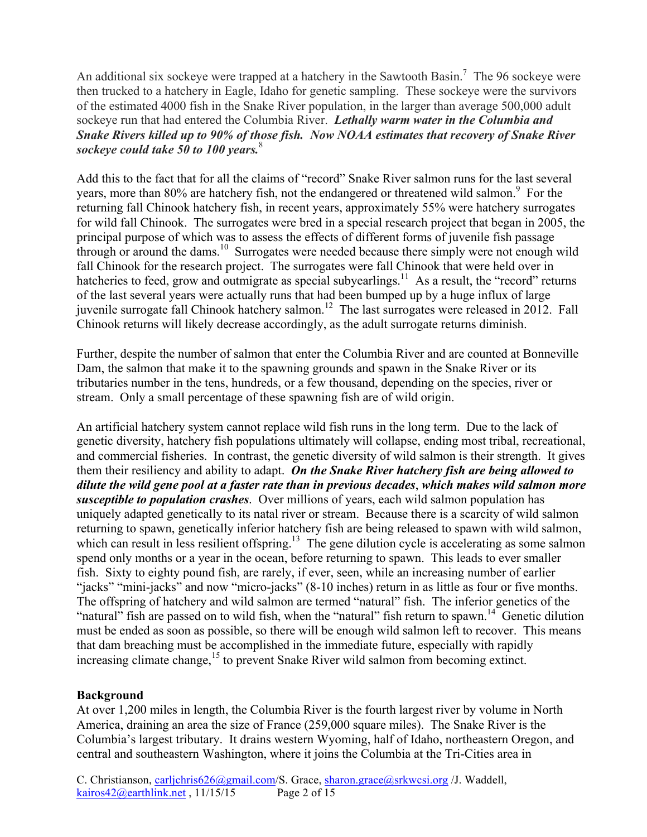An additional six sockeye were trapped at a hatchery in the Sawtooth Basin.<sup>7</sup> The 96 sockeye were then trucked to a hatchery in Eagle, Idaho for genetic sampling. These sockeye were the survivors of the estimated 4000 fish in the Snake River population, in the larger than average 500,000 adult sockeye run that had entered the Columbia River. *Lethally warm water in the Columbia and Snake Rivers killed up to 90% of those fish. Now NOAA estimates that recovery of Snake River sockeye could take 50 to 100 years.*<sup>8</sup>

Add this to the fact that for all the claims of "record" Snake River salmon runs for the last several years, more than 80% are hatchery fish, not the endangered or threatened wild salmon.<sup>9</sup> For the returning fall Chinook hatchery fish, in recent years, approximately 55% were hatchery surrogates for wild fall Chinook. The surrogates were bred in a special research project that began in 2005, the principal purpose of which was to assess the effects of different forms of juvenile fish passage through or around the dams.<sup>10</sup> Surrogates were needed because there simply were not enough wild fall Chinook for the research project. The surrogates were fall Chinook that were held over in hatcheries to feed, grow and outmigrate as special subvearlings.<sup>11</sup> As a result, the "record" returns of the last several years were actually runs that had been bumped up by a huge influx of large juvenile surrogate fall Chinook hatchery salmon.<sup>12</sup> The last surrogates were released in 2012. Fall Chinook returns will likely decrease accordingly, as the adult surrogate returns diminish.

Further, despite the number of salmon that enter the Columbia River and are counted at Bonneville Dam, the salmon that make it to the spawning grounds and spawn in the Snake River or its tributaries number in the tens, hundreds, or a few thousand, depending on the species, river or stream. Only a small percentage of these spawning fish are of wild origin.

An artificial hatchery system cannot replace wild fish runs in the long term. Due to the lack of genetic diversity, hatchery fish populations ultimately will collapse, ending most tribal, recreational, and commercial fisheries. In contrast, the genetic diversity of wild salmon is their strength. It gives them their resiliency and ability to adapt. *On the Snake River hatchery fish are being allowed to dilute the wild gene pool at a faster rate than in previous decades*, *which makes wild salmon more susceptible to population crashes*. Over millions of years, each wild salmon population has uniquely adapted genetically to its natal river or stream. Because there is a scarcity of wild salmon returning to spawn, genetically inferior hatchery fish are being released to spawn with wild salmon, which can result in less resilient offspring.<sup>13</sup> The gene dilution cycle is accelerating as some salmon spend only months or a year in the ocean, before returning to spawn. This leads to ever smaller fish. Sixty to eighty pound fish, are rarely, if ever, seen, while an increasing number of earlier "jacks" "mini-jacks" and now "micro-jacks" (8-10 inches) return in as little as four or five months. The offspring of hatchery and wild salmon are termed "natural" fish. The inferior genetics of the "natural" fish are passed on to wild fish, when the "natural" fish return to spawn.<sup>14</sup> Genetic dilution must be ended as soon as possible, so there will be enough wild salmon left to recover. This means that dam breaching must be accomplished in the immediate future, especially with rapidly increasing climate change,<sup>15</sup> to prevent Snake River wild salmon from becoming extinct.

## **Background**

At over 1,200 miles in length, the Columbia River is the fourth largest river by volume in North America, draining an area the size of France (259,000 square miles). The Snake River is the Columbia's largest tributary. It drains western Wyoming, half of Idaho, northeastern Oregon, and central and southeastern Washington, where it joins the Columbia at the Tri-Cities area in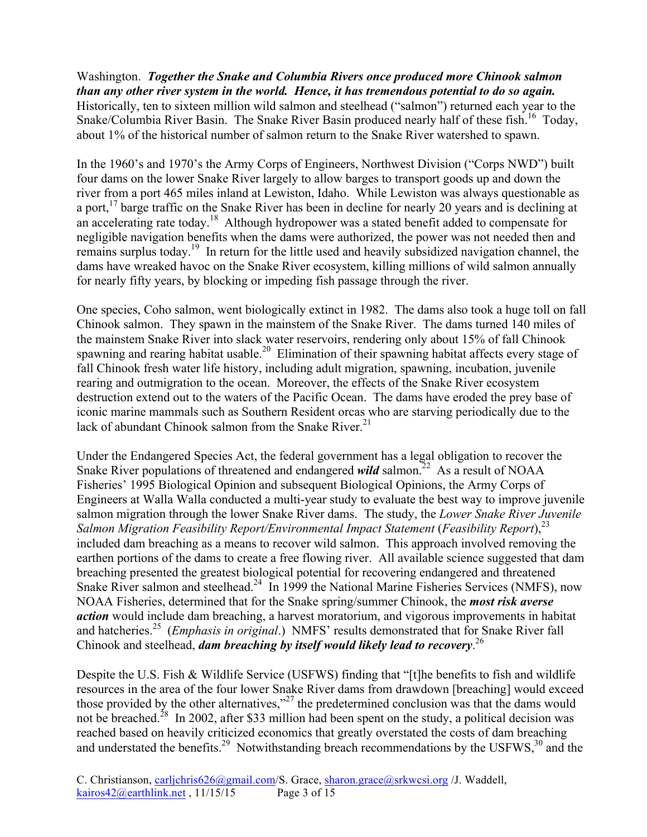Washington. *Together the Snake and Columbia Rivers once produced more Chinook salmon than any other river system in the world. Hence, it has tremendous potential to do so again.*  Historically, ten to sixteen million wild salmon and steelhead ("salmon") returned each year to the Snake/Columbia River Basin. The Snake River Basin produced nearly half of these fish.<sup>16</sup> Today, about 1% of the historical number of salmon return to the Snake River watershed to spawn.

In the 1960's and 1970's the Army Corps of Engineers, Northwest Division ("Corps NWD") built four dams on the lower Snake River largely to allow barges to transport goods up and down the river from a port 465 miles inland at Lewiston, Idaho. While Lewiston was always questionable as a port,<sup>17</sup> barge traffic on the Snake River has been in decline for nearly 20 years and is declining at an accelerating rate today.<sup>18</sup> Although hydropower was a stated benefit added to compensate for negligible navigation benefits when the dams were authorized, the power was not needed then and remains surplus today.19 In return for the little used and heavily subsidized navigation channel, the dams have wreaked havoc on the Snake River ecosystem, killing millions of wild salmon annually for nearly fifty years, by blocking or impeding fish passage through the river.

One species, Coho salmon, went biologically extinct in 1982. The dams also took a huge toll on fall Chinook salmon. They spawn in the mainstem of the Snake River. The dams turned 140 miles of the mainstem Snake River into slack water reservoirs, rendering only about 15% of fall Chinook spawning and rearing habitat usable.<sup>20</sup> Elimination of their spawning habitat affects every stage of fall Chinook fresh water life history, including adult migration, spawning, incubation, juvenile rearing and outmigration to the ocean. Moreover, the effects of the Snake River ecosystem destruction extend out to the waters of the Pacific Ocean. The dams have eroded the prey base of iconic marine mammals such as Southern Resident orcas who are starving periodically due to the lack of abundant Chinook salmon from the Snake River. $21$ 

Under the Endangered Species Act, the federal government has a legal obligation to recover the Snake River populations of threatened and endangered *wild* salmon.<sup>22</sup> As a result of NOAA Fisheries' 1995 Biological Opinion and subsequent Biological Opinions, the Army Corps of Engineers at Walla Walla conducted a multi-year study to evaluate the best way to improve juvenile salmon migration through the lower Snake River dams. The study, the *Lower Snake River Juvenile Salmon Migration Feasibility Report/Environmental Impact Statement (Feasibility Report)*,<sup>23</sup> included dam breaching as a means to recover wild salmon. This approach involved removing the earthen portions of the dams to create a free flowing river. All available science suggested that dam breaching presented the greatest biological potential for recovering endangered and threatened Snake River salmon and steelhead.<sup>24</sup> In 1999 the National Marine Fisheries Services (NMFS), now NOAA Fisheries, determined that for the Snake spring/summer Chinook, the *most risk averse action* would include dam breaching, a harvest moratorium, and vigorous improvements in habitat and hatcheries.<sup>25</sup> (*Emphasis in original*.) NMFS' results demonstrated that for Snake River fall Chinook and steelhead, *dam breaching by itself would likely lead to recovery*. 26

Despite the U.S. Fish & Wildlife Service (USFWS) finding that "[t]he benefits to fish and wildlife resources in the area of the four lower Snake River dams from drawdown [breaching] would exceed those provided by the other alternatives,"<sup>27</sup> the predetermined conclusion was that the dams would not be breached.<sup>28</sup> In 2002, after \$33 million had been spent on the study, a political decision was reached based on heavily criticized economics that greatly overstated the costs of dam breaching and understated the benefits.<sup>29</sup> Notwithstanding breach recommendations by the USFWS,<sup>30</sup> and the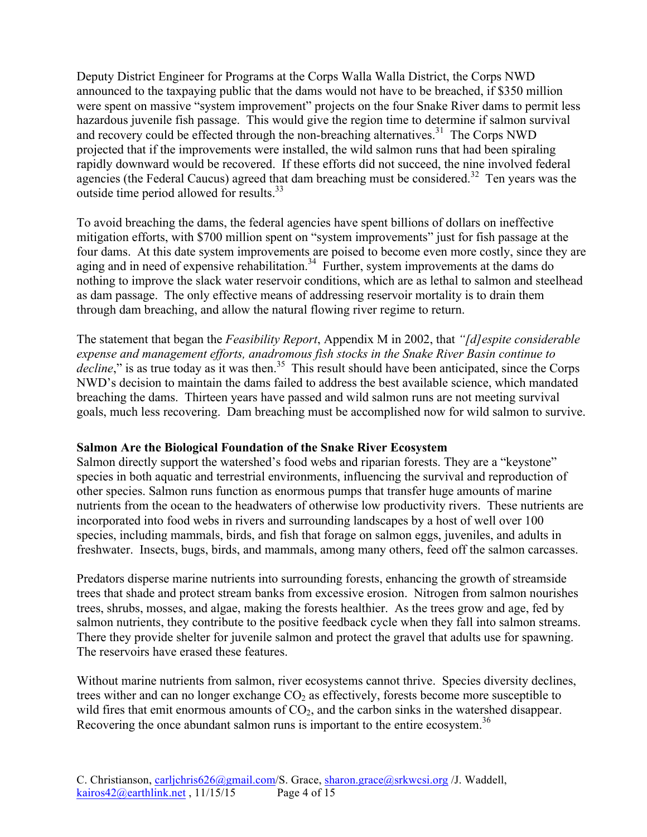Deputy District Engineer for Programs at the Corps Walla Walla District, the Corps NWD announced to the taxpaying public that the dams would not have to be breached, if \$350 million were spent on massive "system improvement" projects on the four Snake River dams to permit less hazardous juvenile fish passage. This would give the region time to determine if salmon survival and recovery could be effected through the non-breaching alternatives.<sup>31</sup> The Corps NWD projected that if the improvements were installed, the wild salmon runs that had been spiraling rapidly downward would be recovered. If these efforts did not succeed, the nine involved federal agencies (the Federal Caucus) agreed that dam breaching must be considered.<sup>32</sup> Ten years was the outside time period allowed for results.<sup>33</sup>

To avoid breaching the dams, the federal agencies have spent billions of dollars on ineffective mitigation efforts, with \$700 million spent on "system improvements" just for fish passage at the four dams. At this date system improvements are poised to become even more costly, since they are aging and in need of expensive rehabilitation.<sup>34</sup> Further, system improvements at the dams do nothing to improve the slack water reservoir conditions, which are as lethal to salmon and steelhead as dam passage. The only effective means of addressing reservoir mortality is to drain them through dam breaching, and allow the natural flowing river regime to return.

The statement that began the *Feasibility Report*, Appendix M in 2002, that *"[d]espite considerable expense and management efforts, anadromous fish stocks in the Snake River Basin continue to decline*," is as true today as it was then.<sup>35</sup> This result should have been anticipated, since the Corps NWD's decision to maintain the dams failed to address the best available science, which mandated breaching the dams. Thirteen years have passed and wild salmon runs are not meeting survival goals, much less recovering. Dam breaching must be accomplished now for wild salmon to survive.

## **Salmon Are the Biological Foundation of the Snake River Ecosystem**

Salmon directly support the watershed's food webs and riparian forests. They are a "keystone" species in both aquatic and terrestrial environments, influencing the survival and reproduction of other species. Salmon runs function as enormous pumps that transfer huge amounts of marine nutrients from the ocean to the headwaters of otherwise low productivity rivers. These nutrients are incorporated into food webs in rivers and surrounding landscapes by a host of well over 100 species, including mammals, birds, and fish that forage on salmon eggs, juveniles, and adults in freshwater. Insects, bugs, birds, and mammals, among many others, feed off the salmon carcasses.

Predators disperse marine nutrients into surrounding forests, enhancing the growth of streamside trees that shade and protect stream banks from excessive erosion. Nitrogen from salmon nourishes trees, shrubs, mosses, and algae, making the forests healthier. As the trees grow and age, fed by salmon nutrients, they contribute to the positive feedback cycle when they fall into salmon streams. There they provide shelter for juvenile salmon and protect the gravel that adults use for spawning. The reservoirs have erased these features.

Without marine nutrients from salmon, river ecosystems cannot thrive. Species diversity declines, trees wither and can no longer exchange  $CO<sub>2</sub>$  as effectively, forests become more susceptible to wild fires that emit enormous amounts of  $CO<sub>2</sub>$ , and the carbon sinks in the watershed disappear. Recovering the once abundant salmon runs is important to the entire ecosystem.<sup>36</sup>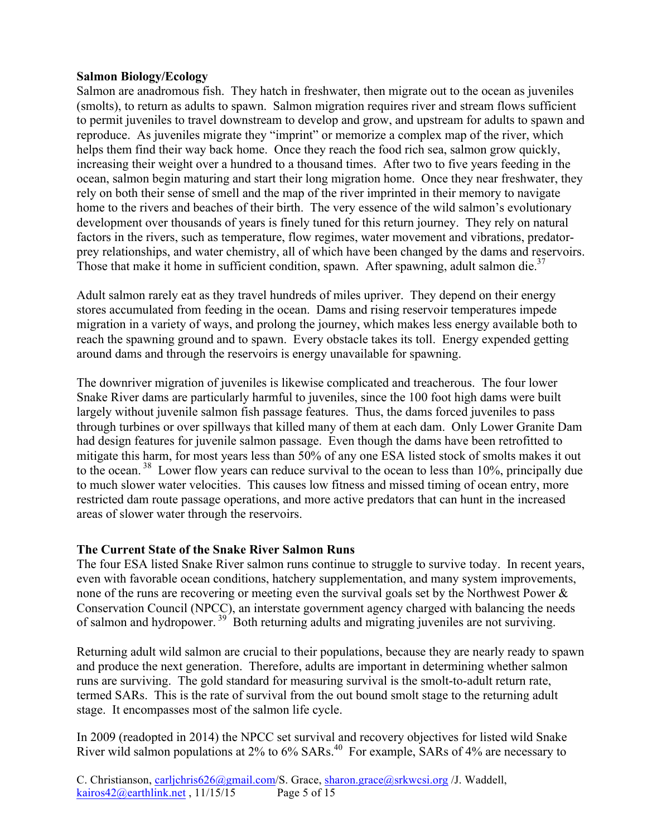## **Salmon Biology/Ecology**

Salmon are anadromous fish. They hatch in freshwater, then migrate out to the ocean as juveniles (smolts), to return as adults to spawn. Salmon migration requires river and stream flows sufficient to permit juveniles to travel downstream to develop and grow, and upstream for adults to spawn and reproduce. As juveniles migrate they "imprint" or memorize a complex map of the river, which helps them find their way back home. Once they reach the food rich sea, salmon grow quickly, increasing their weight over a hundred to a thousand times. After two to five years feeding in the ocean, salmon begin maturing and start their long migration home. Once they near freshwater, they rely on both their sense of smell and the map of the river imprinted in their memory to navigate home to the rivers and beaches of their birth. The very essence of the wild salmon's evolutionary development over thousands of years is finely tuned for this return journey. They rely on natural factors in the rivers, such as temperature, flow regimes, water movement and vibrations, predatorprey relationships, and water chemistry, all of which have been changed by the dams and reservoirs. Those that make it home in sufficient condition, spawn. After spawning, adult salmon die.<sup>37</sup>

Adult salmon rarely eat as they travel hundreds of miles upriver. They depend on their energy stores accumulated from feeding in the ocean. Dams and rising reservoir temperatures impede migration in a variety of ways, and prolong the journey, which makes less energy available both to reach the spawning ground and to spawn. Every obstacle takes its toll. Energy expended getting around dams and through the reservoirs is energy unavailable for spawning.

The downriver migration of juveniles is likewise complicated and treacherous. The four lower Snake River dams are particularly harmful to juveniles, since the 100 foot high dams were built largely without juvenile salmon fish passage features. Thus, the dams forced juveniles to pass through turbines or over spillways that killed many of them at each dam. Only Lower Granite Dam had design features for juvenile salmon passage. Even though the dams have been retrofitted to mitigate this harm, for most years less than 50% of any one ESA listed stock of smolts makes it out to the ocean. 38 Lower flow years can reduce survival to the ocean to less than 10%, principally due to much slower water velocities. This causes low fitness and missed timing of ocean entry, more restricted dam route passage operations, and more active predators that can hunt in the increased areas of slower water through the reservoirs.

## **The Current State of the Snake River Salmon Runs**

The four ESA listed Snake River salmon runs continue to struggle to survive today. In recent years, even with favorable ocean conditions, hatchery supplementation, and many system improvements, none of the runs are recovering or meeting even the survival goals set by the Northwest Power & Conservation Council (NPCC), an interstate government agency charged with balancing the needs of salmon and hydropower.  $39^{6}$  Both returning adults and migrating juveniles are not surviving.

Returning adult wild salmon are crucial to their populations, because they are nearly ready to spawn and produce the next generation. Therefore, adults are important in determining whether salmon runs are surviving. The gold standard for measuring survival is the smolt-to-adult return rate, termed SARs. This is the rate of survival from the out bound smolt stage to the returning adult stage. It encompasses most of the salmon life cycle.

In 2009 (readopted in 2014) the NPCC set survival and recovery objectives for listed wild Snake River wild salmon populations at 2% to 6% SARs.<sup>40</sup> For example, SARs of 4% are necessary to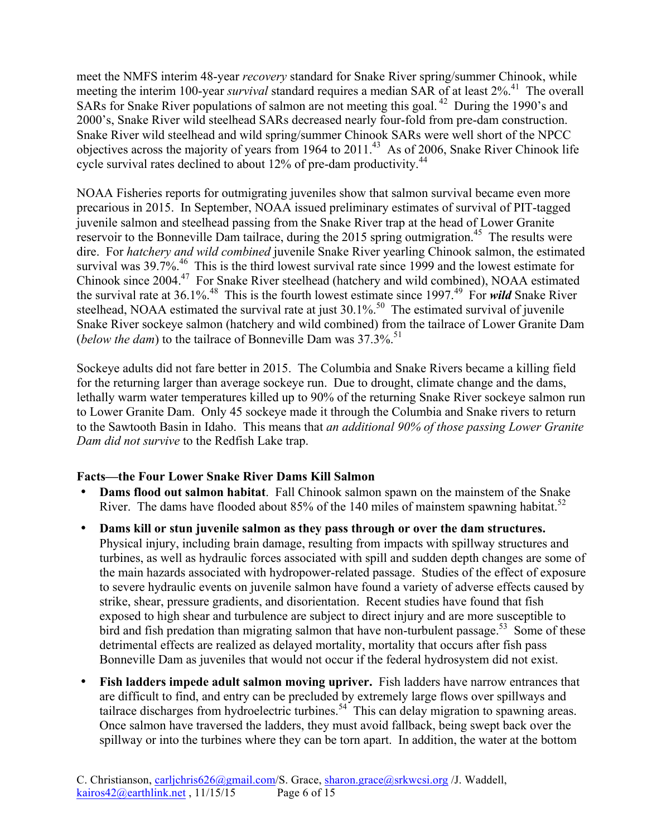meet the NMFS interim 48-year *recovery* standard for Snake River spring/summer Chinook, while meeting the interim 100-year *survival* standard requires a median SAR of at least 2%.<sup>41</sup> The overall SARs for Snake River populations of salmon are not meeting this goal.<sup>42</sup> During the 1990's and 2000's, Snake River wild steelhead SARs decreased nearly four-fold from pre-dam construction. Snake River wild steelhead and wild spring/summer Chinook SARs were well short of the NPCC objectives across the majority of years from 1964 to 2011.<sup>43</sup> As of 2006, Snake River Chinook life cycle survival rates declined to about 12% of pre-dam productivity.<sup>44</sup>

NOAA Fisheries reports for outmigrating juveniles show that salmon survival became even more precarious in 2015. In September, NOAA issued preliminary estimates of survival of PIT-tagged juvenile salmon and steelhead passing from the Snake River trap at the head of Lower Granite reservoir to the Bonneville Dam tailrace, during the 2015 spring outmigration.<sup>45</sup> The results were dire. For *hatchery and wild combined* juvenile Snake River yearling Chinook salmon, the estimated survival was 39.7%.<sup>46</sup> This is the third lowest survival rate since 1999 and the lowest estimate for Chinook since 2004.47 For Snake River steelhead (hatchery and wild combined), NOAA estimated the survival rate at 36.1%.<sup>48</sup> This is the fourth lowest estimate since 1997.<sup>49</sup> For *wild* Snake River steelhead, NOAA estimated the survival rate at just  $30.1\%$ .<sup>50</sup> The estimated survival of juvenile Snake River sockeye salmon (hatchery and wild combined) from the tailrace of Lower Granite Dam (*below the dam*) to the tailrace of Bonneville Dam was 37.3%. 51

Sockeye adults did not fare better in 2015. The Columbia and Snake Rivers became a killing field for the returning larger than average sockeye run. Due to drought, climate change and the dams, lethally warm water temperatures killed up to 90% of the returning Snake River sockeye salmon run to Lower Granite Dam. Only 45 sockeye made it through the Columbia and Snake rivers to return to the Sawtooth Basin in Idaho. This means that *an additional 90% of those passing Lower Granite Dam did not survive* to the Redfish Lake trap.

## **Facts—the Four Lower Snake River Dams Kill Salmon**

- **Dams flood out salmon habitat**. Fall Chinook salmon spawn on the mainstem of the Snake River. The dams have flooded about 85% of the 140 miles of mainstem spawning habitat.<sup>52</sup>
- **Dams kill or stun juvenile salmon as they pass through or over the dam structures.** Physical injury, including brain damage, resulting from impacts with spillway structures and turbines, as well as hydraulic forces associated with spill and sudden depth changes are some of the main hazards associated with hydropower-related passage. Studies of the effect of exposure to severe hydraulic events on juvenile salmon have found a variety of adverse effects caused by strike, shear, pressure gradients, and disorientation. Recent studies have found that fish exposed to high shear and turbulence are subject to direct injury and are more susceptible to bird and fish predation than migrating salmon that have non-turbulent passage.<sup>53</sup> Some of these detrimental effects are realized as delayed mortality, mortality that occurs after fish pass Bonneville Dam as juveniles that would not occur if the federal hydrosystem did not exist.
- **Fish ladders impede adult salmon moving upriver.** Fish ladders have narrow entrances that are difficult to find, and entry can be precluded by extremely large flows over spillways and tailrace discharges from hydroelectric turbines.<sup>54</sup> This can delay migration to spawning areas. Once salmon have traversed the ladders, they must avoid fallback, being swept back over the spillway or into the turbines where they can be torn apart. In addition, the water at the bottom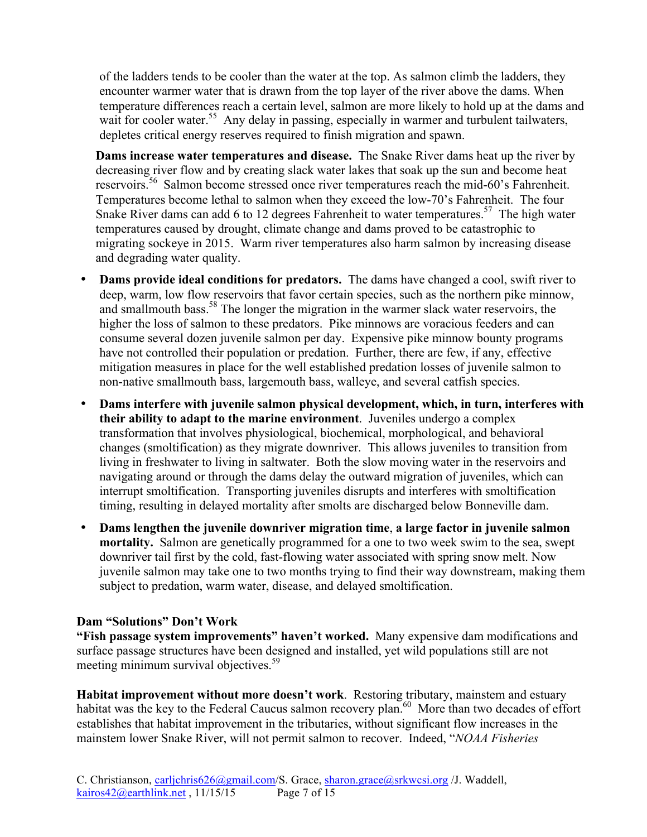of the ladders tends to be cooler than the water at the top. As salmon climb the ladders, they encounter warmer water that is drawn from the top layer of the river above the dams. When temperature differences reach a certain level, salmon are more likely to hold up at the dams and wait for cooler water.<sup>55</sup> Any delay in passing, especially in warmer and turbulent tailwaters, depletes critical energy reserves required to finish migration and spawn.

**Dams increase water temperatures and disease.** The Snake River dams heat up the river by decreasing river flow and by creating slack water lakes that soak up the sun and become heat reservoirs.56 Salmon become stressed once river temperatures reach the mid-60's Fahrenheit. Temperatures become lethal to salmon when they exceed the low-70's Fahrenheit. The four Snake River dams can add 6 to 12 degrees Fahrenheit to water temperatures.<sup>57</sup> The high water temperatures caused by drought, climate change and dams proved to be catastrophic to migrating sockeye in 2015. Warm river temperatures also harm salmon by increasing disease and degrading water quality.

- **Dams provide ideal conditions for predators.** The dams have changed a cool, swift river to deep, warm, low flow reservoirs that favor certain species, such as the northern pike minnow, and smallmouth bass.<sup>58</sup> The longer the migration in the warmer slack water reservoirs, the higher the loss of salmon to these predators. Pike minnows are voracious feeders and can consume several dozen juvenile salmon per day. Expensive pike minnow bounty programs have not controlled their population or predation. Further, there are few, if any, effective mitigation measures in place for the well established predation losses of juvenile salmon to non-native smallmouth bass, largemouth bass, walleye, and several catfish species.
- **Dams interfere with juvenile salmon physical development, which, in turn, interferes with their ability to adapt to the marine environment**. Juveniles undergo a complex transformation that involves physiological, biochemical, morphological, and behavioral changes (smoltification) as they migrate downriver. This allows juveniles to transition from living in freshwater to living in saltwater. Both the slow moving water in the reservoirs and navigating around or through the dams delay the outward migration of juveniles, which can interrupt smoltification. Transporting juveniles disrupts and interferes with smoltification timing, resulting in delayed mortality after smolts are discharged below Bonneville dam.
- **Dams lengthen the juvenile downriver migration time**, **a large factor in juvenile salmon mortality.** Salmon are genetically programmed for a one to two week swim to the sea, swept downriver tail first by the cold, fast-flowing water associated with spring snow melt. Now juvenile salmon may take one to two months trying to find their way downstream, making them subject to predation, warm water, disease, and delayed smoltification.

## **Dam "Solutions" Don't Work**

**"Fish passage system improvements" haven't worked.** Many expensive dam modifications and surface passage structures have been designed and installed, yet wild populations still are not meeting minimum survival objectives.<sup>59</sup>

**Habitat improvement without more doesn't work**. Restoring tributary, mainstem and estuary habitat was the key to the Federal Caucus salmon recovery plan.<sup>60</sup> More than two decades of effort establishes that habitat improvement in the tributaries, without significant flow increases in the mainstem lower Snake River, will not permit salmon to recover. Indeed, "*NOAA Fisheries*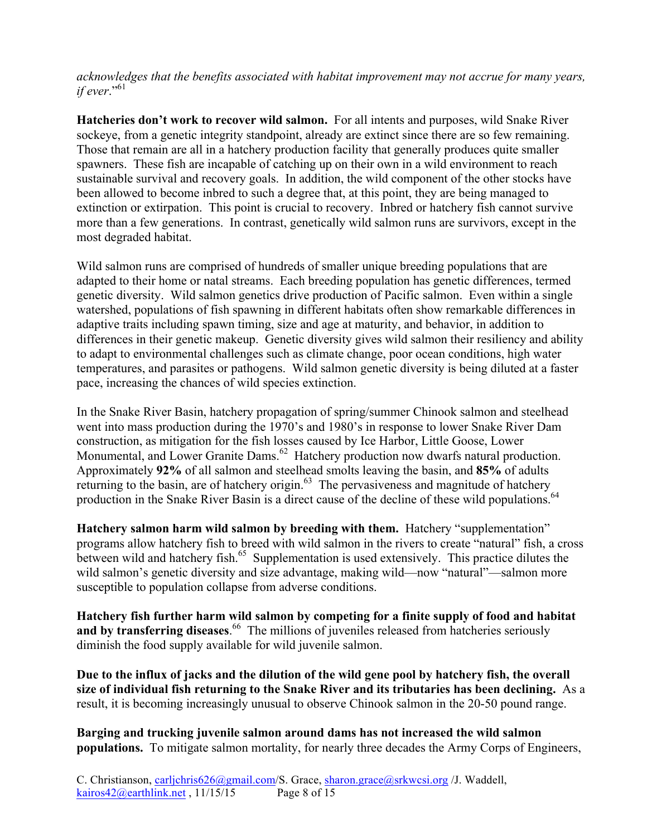*acknowledges that the benefits associated with habitat improvement may not accrue for many years, if ever*."61

**Hatcheries don't work to recover wild salmon.** For all intents and purposes, wild Snake River sockeye, from a genetic integrity standpoint, already are extinct since there are so few remaining. Those that remain are all in a hatchery production facility that generally produces quite smaller spawners. These fish are incapable of catching up on their own in a wild environment to reach sustainable survival and recovery goals. In addition, the wild component of the other stocks have been allowed to become inbred to such a degree that, at this point, they are being managed to extinction or extirpation. This point is crucial to recovery. Inbred or hatchery fish cannot survive more than a few generations. In contrast, genetically wild salmon runs are survivors, except in the most degraded habitat.

Wild salmon runs are comprised of hundreds of smaller unique breeding populations that are adapted to their home or natal streams. Each breeding population has genetic differences, termed genetic diversity. Wild salmon genetics drive production of Pacific salmon. Even within a single watershed, populations of fish spawning in different habitats often show remarkable differences in adaptive traits including spawn timing, size and age at maturity, and behavior, in addition to differences in their genetic makeup. Genetic diversity gives wild salmon their resiliency and ability to adapt to environmental challenges such as climate change, poor ocean conditions, high water temperatures, and parasites or pathogens. Wild salmon genetic diversity is being diluted at a faster pace, increasing the chances of wild species extinction.

In the Snake River Basin, hatchery propagation of spring/summer Chinook salmon and steelhead went into mass production during the 1970's and 1980's in response to lower Snake River Dam construction, as mitigation for the fish losses caused by Ice Harbor, Little Goose, Lower Monumental, and Lower Granite Dams.<sup>62</sup> Hatchery production now dwarfs natural production. Approximately **92%** of all salmon and steelhead smolts leaving the basin, and **85%** of adults returning to the basin, are of hatchery origin.<sup>63</sup> The pervasiveness and magnitude of hatchery production in the Snake River Basin is a direct cause of the decline of these wild populations.<sup>64</sup>

**Hatchery salmon harm wild salmon by breeding with them.** Hatchery "supplementation" programs allow hatchery fish to breed with wild salmon in the rivers to create "natural" fish, a cross between wild and hatchery fish.<sup>65</sup> Supplementation is used extensively. This practice dilutes the wild salmon's genetic diversity and size advantage, making wild—now "natural"—salmon more susceptible to population collapse from adverse conditions.

**Hatchery fish further harm wild salmon by competing for a finite supply of food and habitat**  and by transferring diseases.<sup>66</sup> The millions of juveniles released from hatcheries seriously diminish the food supply available for wild juvenile salmon.

**Due to the influx of jacks and the dilution of the wild gene pool by hatchery fish, the overall size of individual fish returning to the Snake River and its tributaries has been declining.** As a result, it is becoming increasingly unusual to observe Chinook salmon in the 20-50 pound range.

**Barging and trucking juvenile salmon around dams has not increased the wild salmon populations.** To mitigate salmon mortality, for nearly three decades the Army Corps of Engineers,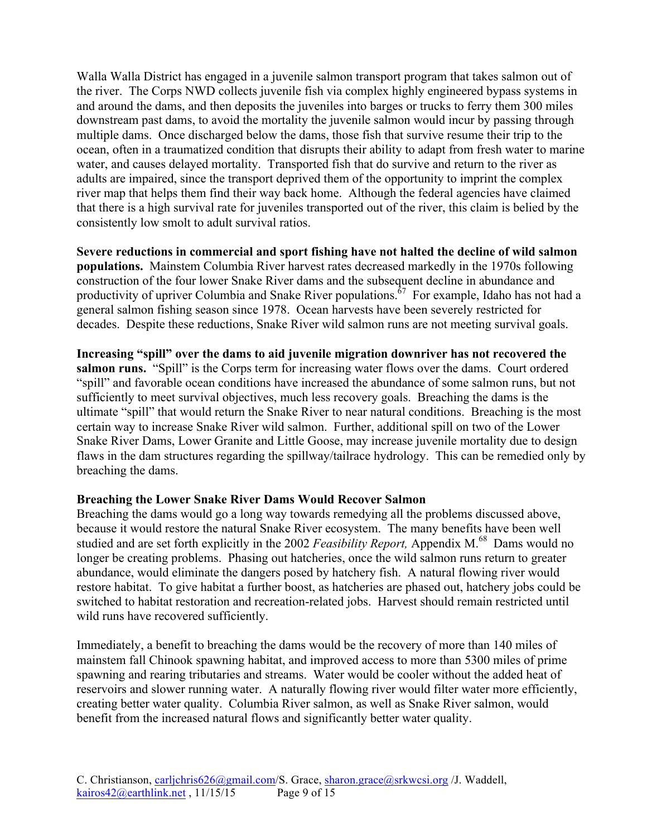Walla Walla District has engaged in a juvenile salmon transport program that takes salmon out of the river. The Corps NWD collects juvenile fish via complex highly engineered bypass systems in and around the dams, and then deposits the juveniles into barges or trucks to ferry them 300 miles downstream past dams, to avoid the mortality the juvenile salmon would incur by passing through multiple dams. Once discharged below the dams, those fish that survive resume their trip to the ocean, often in a traumatized condition that disrupts their ability to adapt from fresh water to marine water, and causes delayed mortality. Transported fish that do survive and return to the river as adults are impaired, since the transport deprived them of the opportunity to imprint the complex river map that helps them find their way back home. Although the federal agencies have claimed that there is a high survival rate for juveniles transported out of the river, this claim is belied by the consistently low smolt to adult survival ratios.

**Severe reductions in commercial and sport fishing have not halted the decline of wild salmon populations.** Mainstem Columbia River harvest rates decreased markedly in the 1970s following construction of the four lower Snake River dams and the subsequent decline in abundance and productivity of upriver Columbia and Snake River populations.<sup> $67$ </sup> For example, Idaho has not had a general salmon fishing season since 1978. Ocean harvests have been severely restricted for decades. Despite these reductions, Snake River wild salmon runs are not meeting survival goals.

**Increasing "spill" over the dams to aid juvenile migration downriver has not recovered the salmon runs.** "Spill" is the Corps term for increasing water flows over the dams. Court ordered "spill" and favorable ocean conditions have increased the abundance of some salmon runs, but not sufficiently to meet survival objectives, much less recovery goals. Breaching the dams is the ultimate "spill" that would return the Snake River to near natural conditions. Breaching is the most certain way to increase Snake River wild salmon. Further, additional spill on two of the Lower Snake River Dams, Lower Granite and Little Goose, may increase juvenile mortality due to design flaws in the dam structures regarding the spillway/tailrace hydrology. This can be remedied only by breaching the dams.

## **Breaching the Lower Snake River Dams Would Recover Salmon**

Breaching the dams would go a long way towards remedying all the problems discussed above, because it would restore the natural Snake River ecosystem. The many benefits have been well studied and are set forth explicitly in the 2002 *Feasibility Report,* Appendix M. 68 Dams would no longer be creating problems. Phasing out hatcheries, once the wild salmon runs return to greater abundance, would eliminate the dangers posed by hatchery fish. A natural flowing river would restore habitat. To give habitat a further boost, as hatcheries are phased out, hatchery jobs could be switched to habitat restoration and recreation-related jobs. Harvest should remain restricted until wild runs have recovered sufficiently.

Immediately, a benefit to breaching the dams would be the recovery of more than 140 miles of mainstem fall Chinook spawning habitat, and improved access to more than 5300 miles of prime spawning and rearing tributaries and streams. Water would be cooler without the added heat of reservoirs and slower running water. A naturally flowing river would filter water more efficiently, creating better water quality. Columbia River salmon, as well as Snake River salmon, would benefit from the increased natural flows and significantly better water quality.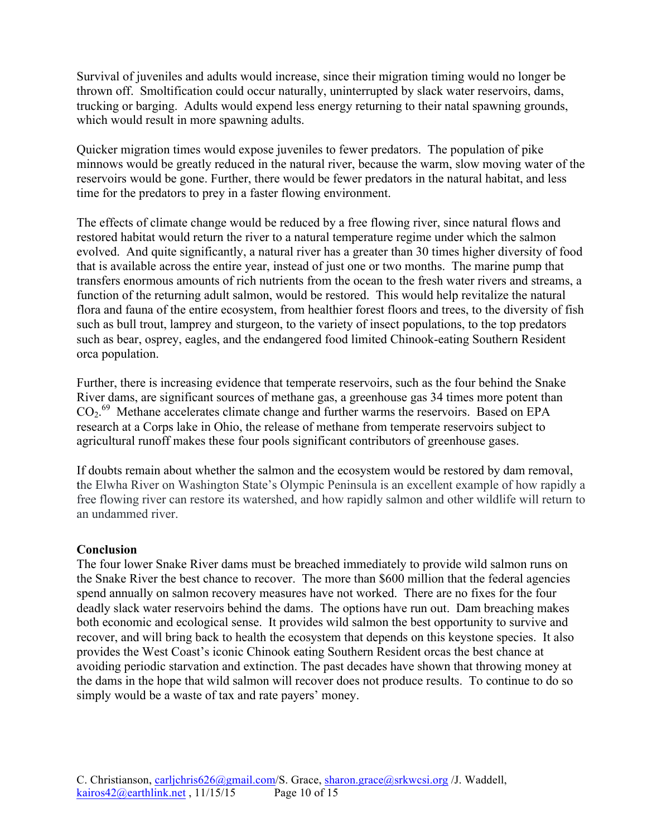Survival of juveniles and adults would increase, since their migration timing would no longer be thrown off. Smoltification could occur naturally, uninterrupted by slack water reservoirs, dams, trucking or barging. Adults would expend less energy returning to their natal spawning grounds, which would result in more spawning adults.

Quicker migration times would expose juveniles to fewer predators. The population of pike minnows would be greatly reduced in the natural river, because the warm, slow moving water of the reservoirs would be gone. Further, there would be fewer predators in the natural habitat, and less time for the predators to prey in a faster flowing environment.

The effects of climate change would be reduced by a free flowing river, since natural flows and restored habitat would return the river to a natural temperature regime under which the salmon evolved. And quite significantly, a natural river has a greater than 30 times higher diversity of food that is available across the entire year, instead of just one or two months. The marine pump that transfers enormous amounts of rich nutrients from the ocean to the fresh water rivers and streams, a function of the returning adult salmon, would be restored. This would help revitalize the natural flora and fauna of the entire ecosystem, from healthier forest floors and trees, to the diversity of fish such as bull trout, lamprey and sturgeon, to the variety of insect populations, to the top predators such as bear, osprey, eagles, and the endangered food limited Chinook-eating Southern Resident orca population.

Further, there is increasing evidence that temperate reservoirs, such as the four behind the Snake River dams, are significant sources of methane gas, a greenhouse gas 34 times more potent than CO2. 69 Methane accelerates climate change and further warms the reservoirs. Based on EPA research at a Corps lake in Ohio, the release of methane from temperate reservoirs subject to agricultural runoff makes these four pools significant contributors of greenhouse gases.

If doubts remain about whether the salmon and the ecosystem would be restored by dam removal, the Elwha River on Washington State's Olympic Peninsula is an excellent example of how rapidly a free flowing river can restore its watershed, and how rapidly salmon and other wildlife will return to an undammed river.

## **Conclusion**

The four lower Snake River dams must be breached immediately to provide wild salmon runs on the Snake River the best chance to recover. The more than \$600 million that the federal agencies spend annually on salmon recovery measures have not worked. There are no fixes for the four deadly slack water reservoirs behind the dams. The options have run out. Dam breaching makes both economic and ecological sense. It provides wild salmon the best opportunity to survive and recover, and will bring back to health the ecosystem that depends on this keystone species. It also provides the West Coast's iconic Chinook eating Southern Resident orcas the best chance at avoiding periodic starvation and extinction. The past decades have shown that throwing money at the dams in the hope that wild salmon will recover does not produce results. To continue to do so simply would be a waste of tax and rate payers' money.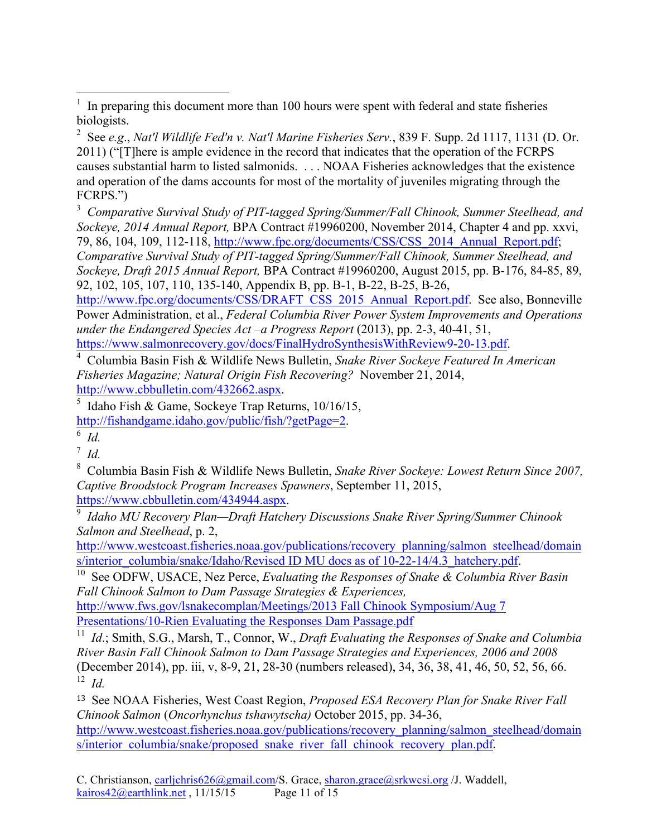http://www.fpc.org/documents/CSS/DRAFT\_CSS\_2015\_Annual\_Report.pdf. See also, Bonneville Power Administration, et al., *Federal Columbia River Power System Improvements and Operations under the Endangered Species Act –a Progress Report* (2013), pp. 2-3, 40-41, 51, https://www.salmonrecovery.gov/docs/FinalHydroSynthesisWithReview9-20-13.pdf.

4 Columbia Basin Fish & Wildlife News Bulletin, *Snake River Sockeye Featured In American Fisheries Magazine; Natural Origin Fish Recovering?* November 21, 2014, http://www.cbbulletin.com/432662.aspx.

5 Idaho Fish & Game, Sockeye Trap Returns, 10/16/15, http://fishandgame.idaho.gov/public/fish/?getPage=2.

<sup>7</sup> *Id.*

8 Columbia Basin Fish & Wildlife News Bulletin, *Snake River Sockeye: Lowest Return Since 2007, Captive Broodstock Program Increases Spawners*, September 11, 2015, https://www.cbbulletin.com/434944.aspx.

9 *Idaho MU Recovery Plan—Draft Hatchery Discussions Snake River Spring/Summer Chinook Salmon and Steelhead*, p. 2,

http://www.westcoast.fisheries.noaa.gov/publications/recovery\_planning/salmon\_steelhead/domain s/interior\_columbia/snake/Idaho/Revised ID MU docs as of 10-22-14/4.3\_hatchery.pdf.

10 See ODFW, USACE, Nez Perce, *Evaluating the Responses of Snake & Columbia River Basin Fall Chinook Salmon to Dam Passage Strategies & Experiences,*

http://www.fws.gov/lsnakecomplan/Meetings/2013 Fall Chinook Symposium/Aug 7 Presentations/10-Rien Evaluating the Responses Dam Passage.pdf

<sup>11</sup> *Id*.; Smith, S.G., Marsh, T., Connor, W., *Draft Evaluating the Responses of Snake and Columbia River Basin Fall Chinook Salmon to Dam Passage Strategies and Experiences, 2006 and 2008* (December 2014), pp. iii, v, 8-9, 21, 28-30 (numbers released), 34, 36, 38, 41, 46, 50, 52, 56, 66. 12 *Id.*

<sup>13</sup> See NOAA Fisheries, West Coast Region, *Proposed ESA Recovery Plan for Snake River Fall Chinook Salmon* (*Oncorhynchus tshawytscha)* October 2015, pp. 34-36, http://www.westcoast.fisheries.noaa.gov/publications/recovery\_planning/salmon\_steelhead/domain s/interior\_columbia/snake/proposed\_snake\_river\_fall\_chinook\_recovery\_plan.pdf.

 <sup>1</sup> In preparing this document more than 100 hours were spent with federal and state fisheries biologists.

<sup>2</sup> See *e.g*., *Nat'l Wildlife Fed'n v. Nat'l Marine Fisheries Serv.*, 839 F. Supp. 2d 1117, 1131 (D. Or. 2011) ("[T]here is ample evidence in the record that indicates that the operation of the FCRPS causes substantial harm to listed salmonids. . . . NOAA Fisheries acknowledges that the existence and operation of the dams accounts for most of the mortality of juveniles migrating through the FCRPS.")

<sup>3</sup> *Comparative Survival Study of PIT-tagged Spring/Summer/Fall Chinook, Summer Steelhead, and Sockeye, 2014 Annual Report,* BPA Contract #19960200, November 2014, Chapter 4 and pp. xxvi, 79, 86, 104, 109, 112-118, http://www.fpc.org/documents/CSS/CSS\_2014\_Annual\_Report.pdf; *Comparative Survival Study of PIT-tagged Spring/Summer/Fall Chinook, Summer Steelhead, and Sockeye, Draft 2015 Annual Report,* BPA Contract #19960200, August 2015, pp. B-176, 84-85, 89, 92, 102, 105, 107, 110, 135-140, Appendix B, pp. B-1, B-22, B-25, B-26,

 $6$  *Id.*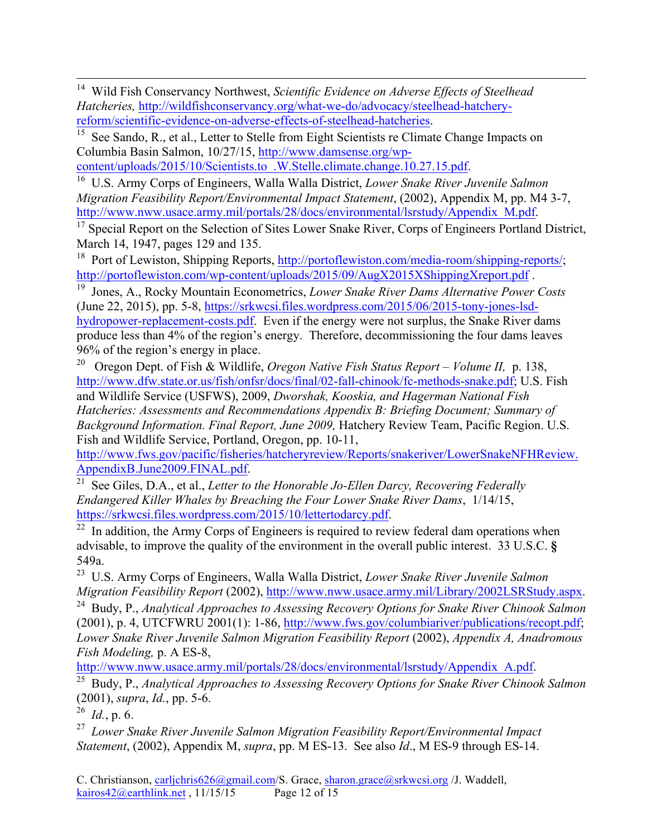14 Wild Fish Conservancy Northwest, *Scientific Evidence on Adverse Effects of Steelhead Hatcheries,* http://wildfishconservancy.org/what-we-do/advocacy/steelhead-hatcheryreform/scientific-evidence-on-adverse-effects-of-steelhead-hatcheries.

<sup>15</sup> See Sando, R., et al., Letter to Stelle from Eight Scientists re Climate Change Impacts on Columbia Basin Salmon, 10/27/15, http://www.damsense.org/wp-

content/uploads/2015/10/Scientists.to\_.W.Stelle.climate.change.10.27.15.pdf.

16 U.S. Army Corps of Engineers, Walla Walla District, *Lower Snake River Juvenile Salmon Migration Feasibility Report/Environmental Impact Statement*, (2002), Appendix M, pp. M4 3-7, http://www.nww.usace.army.mil/portals/28/docs/environmental/lsrstudy/Appendix\_M.pdf.

<sup>17</sup> Special Report on the Selection of Sites Lower Snake River, Corps of Engineers Portland District, March 14, 1947, pages 129 and 135.

<sup>18</sup> Port of Lewiston, Shipping Reports, http://portoflewiston.com/media-room/shipping-reports/; http://portoflewiston.com/wp-content/uploads/2015/09/AugX2015XShippingXreport.pdf .

19 Jones, A., Rocky Mountain Econometrics, *Lower Snake River Dams Alternative Power Costs* (June 22, 2015), pp. 5-8, https://srkwcsi.files.wordpress.com/2015/06/2015-tony-jones-lsdhydropower-replacement-costs.pdf. Even if the energy were not surplus, the Snake River dams produce less than 4% of the region's energy. Therefore, decommissioning the four dams leaves 96% of the region's energy in place.

20 Oregon Dept. of Fish & Wildlife, *Oregon Native Fish Status Report – Volume II,* p. 138, http://www.dfw.state.or.us/fish/onfsr/docs/final/02-fall-chinook/fc-methods-snake.pdf; U.S. Fish and Wildlife Service (USFWS), 2009, *Dworshak, Kooskia, and Hagerman National Fish Hatcheries: Assessments and Recommendations Appendix B: Briefing Document; Summary of Background Information. Final Report, June 2009,* Hatchery Review Team, Pacific Region. U.S. Fish and Wildlife Service, Portland, Oregon, pp. 10-11,

http://www.fws.gov/pacific/fisheries/hatcheryreview/Reports/snakeriver/LowerSnakeNFHReview. AppendixB.June2009.FINAL.pdf.

21 See Giles, D.A., et al., *Letter to the Honorable Jo-Ellen Darcy, Recovering Federally Endangered Killer Whales by Breaching the Four Lower Snake River Dams*, 1/14/15, https://srkwcsi.files.wordpress.com/2015/10/lettertodarcy.pdf.

 $22$  In addition, the Army Corps of Engineers is required to review federal dam operations when advisable, to improve the quality of the environment in the overall public interest. 33 U.S.C. **§**  549a.

23 U.S. Army Corps of Engineers, Walla Walla District, *Lower Snake River Juvenile Salmon Migration Feasibility Report* (2002), http://www.nww.usace.army.mil/Library/2002LSRStudy.aspx.

24 Budy, P., *Analytical Approaches to Assessing Recovery Options for Snake River Chinook Salmon* (2001), p. 4, UTCFWRU 2001(1): 1-86, http://www.fws.gov/columbiariver/publications/recopt.pdf; *Lower Snake River Juvenile Salmon Migration Feasibility Report* (2002), *Appendix A, Anadromous Fish Modeling,* p. A ES-8,

http://www.nww.usace.army.mil/portals/28/docs/environmental/lsrstudy/Appendix\_A.pdf.

25 Budy, P., *Analytical Approaches to Assessing Recovery Options for Snake River Chinook Salmon* (2001), *supra*, *Id.*, pp. 5-6.

26 *Id.*, p. 6.

27 *Lower Snake River Juvenile Salmon Migration Feasibility Report/Environmental Impact Statement*, (2002), Appendix M, *supra*, pp. M ES-13. See also *Id*., M ES-9 through ES-14.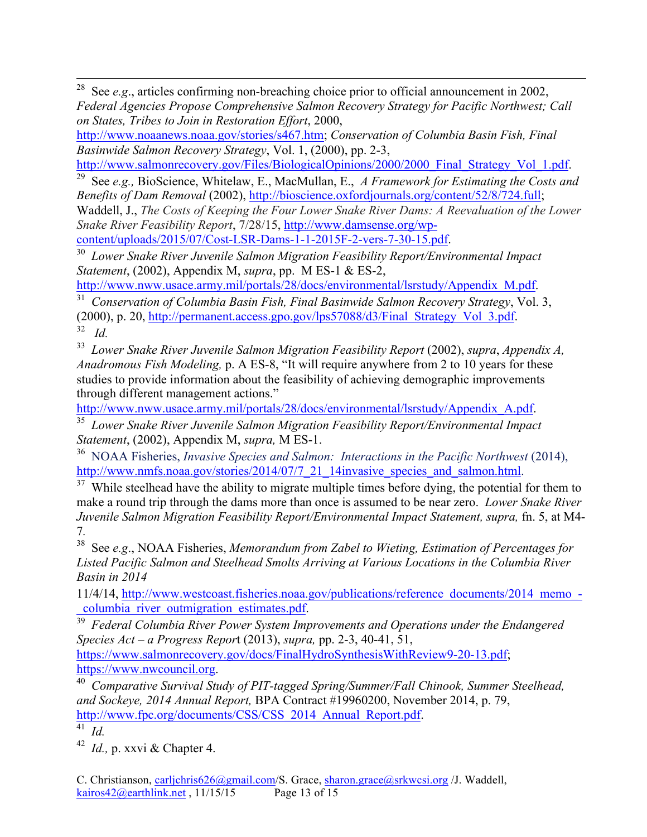<sup>28</sup> See *e.g.*, articles confirming non-breaching choice prior to official announcement in 2002, *Federal Agencies Propose Comprehensive Salmon Recovery Strategy for Pacific Northwest; Call on States, Tribes to Join in Restoration Effort*, 2000,

http://www.noaanews.noaa.gov/stories/s467.htm; *Conservation of Columbia Basin Fish, Final Basinwide Salmon Recovery Strategy*, Vol. 1, (2000), pp. 2-3,

http://www.salmonrecovery.gov/Files/BiologicalOpinions/2000/2000\_Final\_Strategy\_Vol\_1.pdf.

29 See *e.g.,* BioScience, Whitelaw, E., MacMullan, E., *A Framework for Estimating the Costs and Benefits of Dam Removal* (2002), http://bioscience.oxfordjournals.org/content/52/8/724.full;

Waddell, J., *The Costs of Keeping the Four Lower Snake River Dams: A Reevaluation of the Lower Snake River Feasibility Report*, 7/28/15, http://www.damsense.org/wp-

<sup>30</sup> Lower Snake River Juvenile Salmon Migration Feasibility Report/Environmental Impact *Statement*, (2002), Appendix M, *supra*, pp. M ES-1 & ES-2,

http://www.nww.usace.army.mil/portals/28/docs/environmental/lsrstudy/Appendix\_M.pdf.

31 *Conservation of Columbia Basin Fish, Final Basinwide Salmon Recovery Strategy*, Vol. 3, (2000), p. 20, http://permanent.access.gpo.gov/lps57088/d3/Final\_Strategy\_Vol\_3.pdf. 32 *Id.*

<sup>33</sup> *Lower Snake River Juvenile Salmon Migration Feasibility Report (2002), <i>supra, Appendix A, Anadromous Fish Modeling,* p. A ES-8, "It will require anywhere from 2 to 10 years for these studies to provide information about the feasibility of achieving demographic improvements through different management actions."

http://www.nww.usace.army.mil/portals/28/docs/environmental/lsrstudy/Appendix\_A.pdf.

<sup>35</sup> *Lower Snake River Juvenile Salmon Migration Feasibility Report/Environmental Impact Statement*, (2002), Appendix M, *supra,* M ES-1.

36 NOAA Fisheries, *Invasive Species and Salmon: Interactions in the Pacific Northwest* (2014), http://www.nmfs.noaa.gov/stories/2014/07/7\_21\_14invasive\_species\_and\_salmon.html.

 $37$  While steelhead have the ability to migrate multiple times before dying, the potential for them to make a round trip through the dams more than once is assumed to be near zero. *Lower Snake River Juvenile Salmon Migration Feasibility Report/Environmental Impact Statement, supra,* fn. 5, at M4- 7*.*

38 See *e.g*., NOAA Fisheries, *Memorandum from Zabel to Wieting, Estimation of Percentages for Listed Pacific Salmon and Steelhead Smolts Arriving at Various Locations in the Columbia River Basin in 2014*

11/4/14, http://www.westcoast.fisheries.noaa.gov/publications/reference\_documents/2014\_memo\_ columbia river outmigration estimates.pdf.

39 *Federal Columbia River Power System Improvements and Operations under the Endangered Species Act – a Progress Repor*t (2013), *supra,* pp. 2-3, 40-41, 51, https://www.salmonrecovery.gov/docs/FinalHydroSynthesisWithReview9-20-13.pdf

https://www.nwcouncil.org.

40 *Comparative Survival Study of PIT-tagged Spring/Summer/Fall Chinook, Summer Steelhead, and Sockeye, 2014 Annual Report,* BPA Contract #19960200, November 2014, p. 79, http://www.fpc.org/documents/CSS/CSS\_2014\_Annual\_Report.pdf.

41 *Id.*

42 *Id.,* p. xxvi & Chapter 4.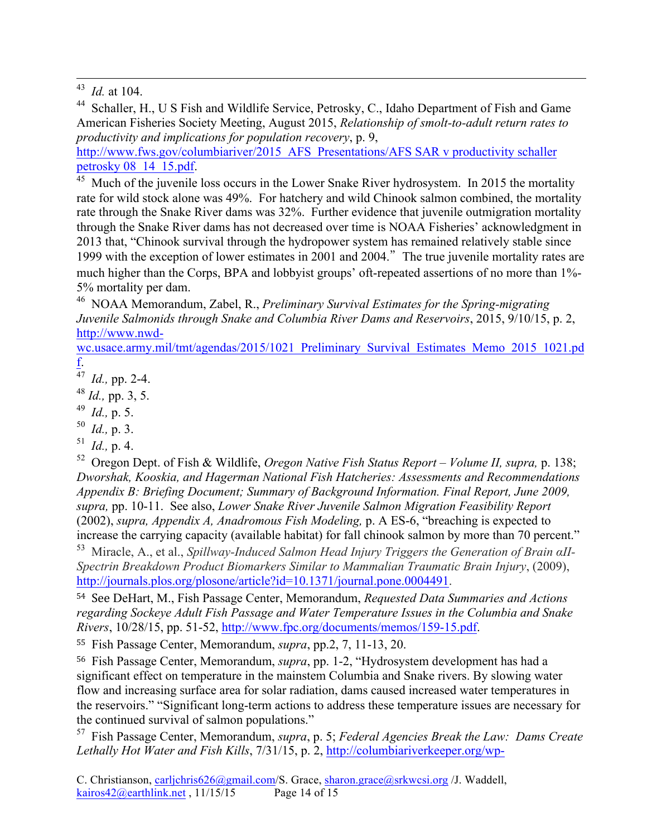44 Schaller, H., U S Fish and Wildlife Service, Petrosky, C., Idaho Department of Fish and Game American Fisheries Society Meeting, August 2015, *Relationship of smolt-to-adult return rates to productivity and implications for population recovery*, p. 9,

http://www.fws.gov/columbiariver/2015 AFS Presentations/AFS SAR v productivity schaller petrosky 08\_14\_15.pdf.

Much of the juvenile loss occurs in the Lower Snake River hydrosystem. In 2015 the mortality rate for wild stock alone was 49%. For hatchery and wild Chinook salmon combined, the mortality rate through the Snake River dams was 32%. Further evidence that juvenile outmigration mortality through the Snake River dams has not decreased over time is NOAA Fisheries' acknowledgment in 2013 that, "Chinook survival through the hydropower system has remained relatively stable since 1999 with the exception of lower estimates in 2001 and 2004."The true juvenile mortality rates are much higher than the Corps, BPA and lobbyist groups' oft-repeated assertions of no more than 1%- 5% mortality per dam.

<sup>46</sup> NOAA Memorandum, Zabel, R., *Preliminary Survival Estimates for the Spring-migrating Juvenile Salmonids through Snake and Columbia River Dams and Reservoirs*, 2015, 9/10/15, p. 2, http://www.nwd-

wc.usace.army.mil/tmt/agendas/2015/1021\_Preliminary\_Survival\_Estimates\_Memo\_2015\_1021.pd f.

<sup>47</sup> *Id.,* pp. 2-4.

<sup>48</sup> *Id.,* pp. 3, 5.

<sup>49</sup> *Id.,* p. 5.

50 *Id.,* p. 3.

 $^{51}$  *Id.*, p. 4.

52 Oregon Dept. of Fish & Wildlife, *Oregon Native Fish Status Report – Volume II, supra,* p. 138; *Dworshak, Kooskia, and Hagerman National Fish Hatcheries: Assessments and Recommendations Appendix B: Briefing Document; Summary of Background Information. Final Report, June 2009, supra,* pp. 10-11. See also, *Lower Snake River Juvenile Salmon Migration Feasibility Report*  (2002), *supra, Appendix A, Anadromous Fish Modeling,* p. A ES-6, "breaching is expected to increase the carrying capacity (available habitat) for fall chinook salmon by more than 70 percent."

53 Miracle, A., et al., *Spillway-Induced Salmon Head Injury Triggers the Generation of Brain αII-Spectrin Breakdown Product Biomarkers Similar to Mammalian Traumatic Brain Injury*, (2009), http://journals.plos.org/plosone/article?id=10.1371/journal.pone.0004491.

54 See DeHart, M., Fish Passage Center, Memorandum, *Requested Data Summaries and Actions regarding Sockeye Adult Fish Passage and Water Temperature Issues in the Columbia and Snake Rivers*, 10/28/15, pp. 51-52, http://www.fpc.org/documents/memos/159-15.pdf.

55 Fish Passage Center, Memorandum, *supra*, pp.2, 7, 11-13, 20.

56 Fish Passage Center, Memorandum, *supra*, pp. 1-2, "Hydrosystem development has had a significant effect on temperature in the mainstem Columbia and Snake rivers. By slowing water flow and increasing surface area for solar radiation, dams caused increased water temperatures in the reservoirs." "Significant long-term actions to address these temperature issues are necessary for the continued survival of salmon populations."

57 Fish Passage Center, Memorandum, *supra*, p. 5; *Federal Agencies Break the Law: Dams Create Lethally Hot Water and Fish Kills*, 7/31/15, p. 2, http://columbiariverkeeper.org/wp-

 <sup>43</sup>*Id.* at 104.